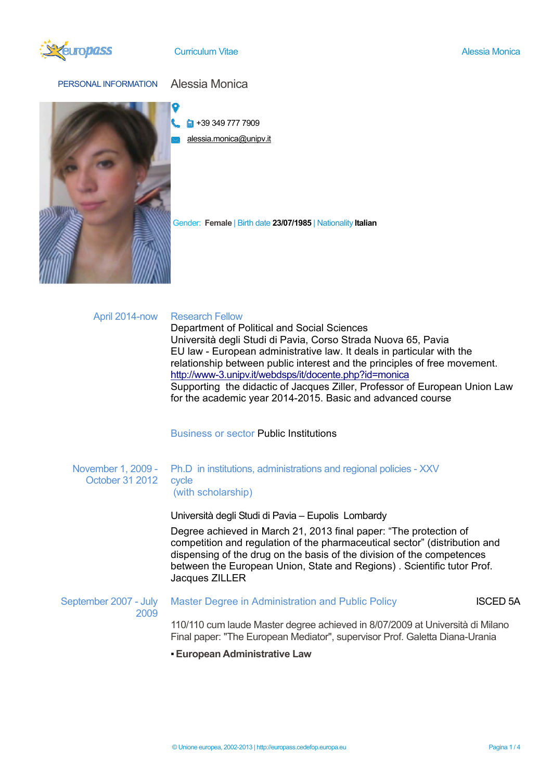

PERSONAL INFORMATION Alessia Monica



 $\blacksquare$  +39 349 777 7909

alessia.monica@unipv.it

Gender: **Female** | Birth date **23/07/1985** | Nationality **Italian**

# April 2014-now Research Fellow

Department of Political and Social Sciences Università degli Studi di Pavia, Corso Strada Nuova 65, Pavia EU law - European administrative law. It deals in particular with the relationship between public interest and the principles of free movement. http://www-3.unipv.it/webdsps/it/docente.php?id=monica Supporting the didactic of Jacques Ziller, Professor of European Union Law for the academic year 2014-2015. Basic and advanced course

Business or sector Public Institutions

### November 1, 2009 - October 31 2012 Ph.D in institutions, administrations and regional policies - XXV cycle (with scholarship)

Università degli Studi di Pavia – Eupolis Lombardy

Degree achieved in March 21, 2013 final paper: "The protection of competition and regulation of the pharmaceutical sector" (distribution and dispensing of the drug on the basis of the division of the competences between the European Union, State and Regions) . Scientific tutor Prof. Jacques ZILLER

### September 2007 - July 2009 Master Degree in Administration and Public Policy **ISCED 5A**

110/110 cum laude Master degree achieved in 8/07/2009 at Università di Milano Final paper: "The European Mediator", supervisor Prof. Galetta Diana-Urania

▪**European Administrative Law**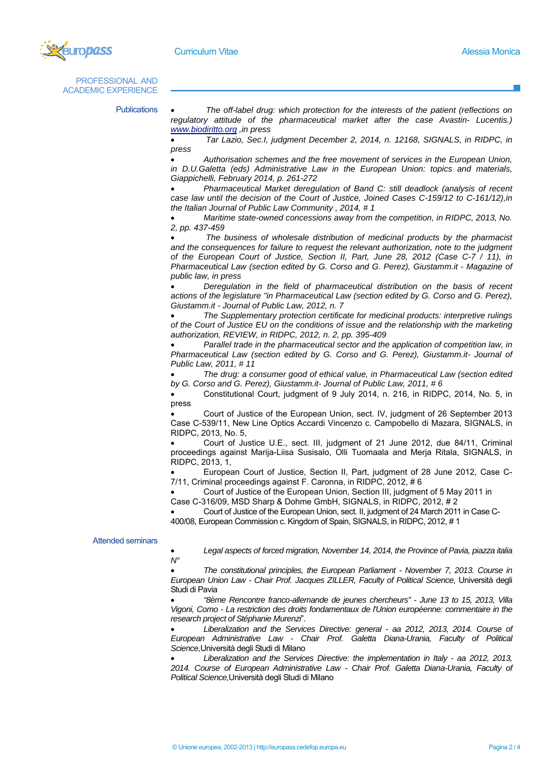

PROFESSIONAL AND ACADEMIC EXPERIENCE

Publications  *The off-label drug: which protection for the interests of the patient (reflections on regulatory attitude of the pharmaceutical market after the case Avastin- Lucentis.) www.biodiritto.org ,in press* 

> *Tar Lazio, Sec.I, judgment December 2, 2014, n. 12168, SIGNALS, in RIDPC, in press*

> *Authorisation schemes and the free movement of services in the European Union, in D.U.Galetta (eds) Administrative Law in the European Union: topics and materials, Giappichelli, February 2014, p. 261-272*

> *Pharmaceutical Market deregulation of Band C: still deadlock (analysis of recent case law until the decision of the Court of Justice, Joined Cases C-159/12 to C-161/12),in the Italian Journal of Public Law Community , 2014, # 1*

> *Maritime state-owned concessions away from the competition, in RIDPC, 2013, No. 2, pp. 437-459*

> *The business of wholesale distribution of medicinal products by the pharmacist and the consequences for failure to request the relevant authorization, note to the judgment of the European Court of Justice, Section II, Part, June 28, 2012 (Case C-7 / 11), in Pharmaceutical Law (section edited by G. Corso and G. Perez), Giustamm.it - Magazine of public law, in press*

> *Deregulation in the field of pharmaceutical distribution on the basis of recent*  actions of the legislature "in Pharmaceutical Law (section edited by G. Corso and G. Perez), *Giustamm.it - Journal of Public Law, 2012, n. 7*

> *The Supplementary protection certificate for medicinal products: interpretive rulings of the Court of Justice EU on the conditions of issue and the relationship with the marketing authorization, REVIEW, in RIDPC, 2012, n. 2, pp. 395-409*

> *Parallel trade in the pharmaceutical sector and the application of competition law, in Pharmaceutical Law (section edited by G. Corso and G. Perez), Giustamm.it- Journal of Public Law, 2011, # 11*

> *The drug: a consumer good of ethical value, in Pharmaceutical Law (section edited by G. Corso and G. Perez), Giustamm.it- Journal of Public Law, 2011, # 6*

> Constitutional Court, judgment of 9 July 2014, n. 216, in RIDPC, 2014, No. 5, in press

> Court of Justice of the European Union, sect. IV, judgment of 26 September 2013 Case C-539/11, New Line Optics Accardi Vincenzo c. Campobello di Mazara, SIGNALS, in RIDPC, 2013, No. 5,

> Court of Justice U.E., sect. III, judgment of 21 June 2012, due 84/11, Criminal proceedings against Marija-Liisa Susisalo, Olli Tuomaala and Merja Ritala, SIGNALS, in RIDPC, 2013, 1,

> European Court of Justice, Section II, Part, judgment of 28 June 2012, Case C-7/11, Criminal proceedings against F. Caronna, in RIDPC, 2012, # 6

 Court of Justice of the European Union, Section III, judgment of 5 May 2011 in Case C-316/09, MSD Sharp & Dohme GmbH, SIGNALS, in RIDPC, 2012, # 2

 Court of Justice of the European Union, sect. II, judgment of 24 March 2011 in Case C-400/08, European Commission c. Kingdom of Spain, SIGNALS, in RIDPC, 2012, # 1

## Attended seminars

 *Legal aspects of forced migration, November 14, 2014, the Province of Pavia, piazza italia N°*

 *The constitutional principles, the European Parliament - November 7, 2013. Course in*  European Union Law - Chair Prof. Jacques ZILLER, Faculty of Political Science, Università degli Studi di Pavia

 *"8ème Rencontre franco-allemande de jeunes chercheurs" - June 13 to 15, 2013, Villa Vigoni, Como - La restriction des droits fondamentaux de l'Union européenne: commentaire in the research project of Stéphanie Murenzi*".

 *Liberalization and the Services Directive: general - aa 2012, 2013, 2014. Course of European Administrative Law - Chair Prof. Galetta Diana-Urania, Faculty of Political Science,*Università degli Studi di Milano

 *Liberalization and the Services Directive: the implementation in Italy - aa 2012, 2013, 2014. Course of European Administrative Law - Chair Prof. Galetta Diana-Urania, Faculty of Political Science,*Università degli Studi di Milano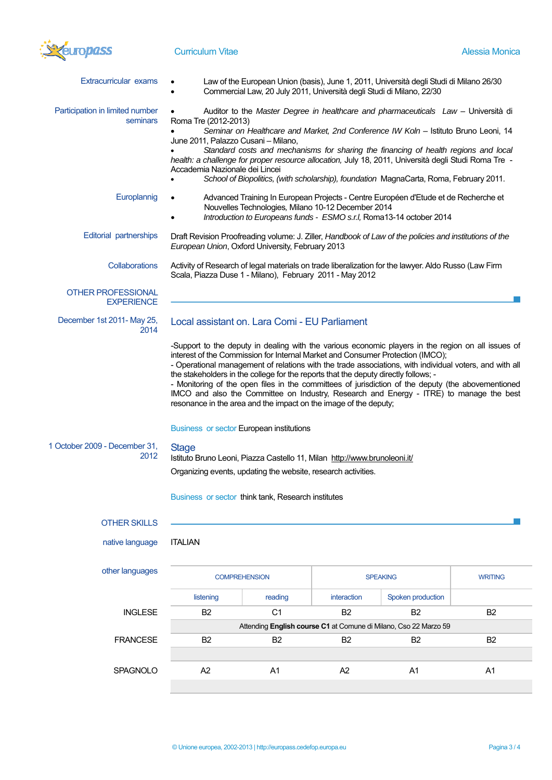

| <b>Extracurricular exams</b>                   |                                                                                                                                                                                                                                                                                                                                                                                                                                                                                                                                                                     | Commercial Law, 20 July 2011, Università degli Studi di Milano, 22/30 |                 | Law of the European Union (basis), June 1, 2011, Università degli Studi di Milano 26/30                                                                                                                                                                                                                                                                                                                        |                |
|------------------------------------------------|---------------------------------------------------------------------------------------------------------------------------------------------------------------------------------------------------------------------------------------------------------------------------------------------------------------------------------------------------------------------------------------------------------------------------------------------------------------------------------------------------------------------------------------------------------------------|-----------------------------------------------------------------------|-----------------|----------------------------------------------------------------------------------------------------------------------------------------------------------------------------------------------------------------------------------------------------------------------------------------------------------------------------------------------------------------------------------------------------------------|----------------|
| Participation in limited number<br>seminars    | Auditor to the Master Degree in healthcare and pharmaceuticals Law - Università di<br>Roma Tre (2012-2013)<br>Seminar on Healthcare and Market, 2nd Conference IW Koln - Istituto Bruno Leoni, 14<br>June 2011, Palazzo Cusani - Milano,<br>Standard costs and mechanisms for sharing the financing of health regions and local<br>health: a challenge for proper resource allocation, July 18, 2011, Università degli Studi Roma Tre -<br>Accademia Nazionale dei Lincei<br>School of Biopolitics, (with scholarship), foundation MagnaCarta, Roma, February 2011. |                                                                       |                 |                                                                                                                                                                                                                                                                                                                                                                                                                |                |
| Europlannig                                    |                                                                                                                                                                                                                                                                                                                                                                                                                                                                                                                                                                     | Nouvelles Technologies, Milano 10-12 December 2014                    |                 | Advanced Training In European Projects - Centre Européen d'Etude et de Recherche et<br>Introduction to Europeans funds - ESMO s.r.l, Roma13-14 october 2014                                                                                                                                                                                                                                                    |                |
| <b>Editorial partnerships</b>                  | Draft Revision Proofreading volume: J. Ziller, Handbook of Law of the policies and institutions of the<br>European Union, Oxford University, February 2013                                                                                                                                                                                                                                                                                                                                                                                                          |                                                                       |                 |                                                                                                                                                                                                                                                                                                                                                                                                                |                |
| Collaborations                                 | Activity of Research of legal materials on trade liberalization for the lawyer. Aldo Russo (Law Firm<br>Scala, Piazza Duse 1 - Milano), February 2011 - May 2012                                                                                                                                                                                                                                                                                                                                                                                                    |                                                                       |                 |                                                                                                                                                                                                                                                                                                                                                                                                                |                |
| <b>OTHER PROFESSIONAL</b><br><b>EXPERIENCE</b> |                                                                                                                                                                                                                                                                                                                                                                                                                                                                                                                                                                     |                                                                       |                 |                                                                                                                                                                                                                                                                                                                                                                                                                |                |
| December 1st 2011- May 25,<br>2014             | Local assistant on. Lara Comi - EU Parliament                                                                                                                                                                                                                                                                                                                                                                                                                                                                                                                       |                                                                       |                 |                                                                                                                                                                                                                                                                                                                                                                                                                |                |
|                                                | interest of the Commission for Internal Market and Consumer Protection (IMCO);<br>the stakeholders in the college for the reports that the deputy directly follows; -<br>resonance in the area and the impact on the image of the deputy;                                                                                                                                                                                                                                                                                                                           |                                                                       |                 | -Support to the deputy in dealing with the various economic players in the region on all issues of<br>- Operational management of relations with the trade associations, with individual voters, and with all<br>- Monitoring of the open files in the committees of jurisdiction of the deputy (the abovementioned<br>IMCO and also the Committee on Industry, Research and Energy - ITRE) to manage the best |                |
| 1 October 2009 - December 31,                  | <b>Business or sector European institutions</b><br><b>Stage</b>                                                                                                                                                                                                                                                                                                                                                                                                                                                                                                     |                                                                       |                 |                                                                                                                                                                                                                                                                                                                                                                                                                |                |
| 2012                                           | Istituto Bruno Leoni, Piazza Castello 11, Milan http://www.brunoleoni.it/<br>Organizing events, updating the website, research activities.<br>Business or sector think tank, Research institutes                                                                                                                                                                                                                                                                                                                                                                    |                                                                       |                 |                                                                                                                                                                                                                                                                                                                                                                                                                |                |
|                                                |                                                                                                                                                                                                                                                                                                                                                                                                                                                                                                                                                                     |                                                                       |                 |                                                                                                                                                                                                                                                                                                                                                                                                                |                |
| <b>OTHER SKILLS</b><br>native language         | <b>ITALIAN</b>                                                                                                                                                                                                                                                                                                                                                                                                                                                                                                                                                      |                                                                       |                 |                                                                                                                                                                                                                                                                                                                                                                                                                |                |
| other languages                                | <b>COMPREHENSION</b>                                                                                                                                                                                                                                                                                                                                                                                                                                                                                                                                                |                                                                       | <b>SPEAKING</b> |                                                                                                                                                                                                                                                                                                                                                                                                                | <b>WRITING</b> |
|                                                | listening                                                                                                                                                                                                                                                                                                                                                                                                                                                                                                                                                           | reading                                                               | interaction     | Spoken production                                                                                                                                                                                                                                                                                                                                                                                              |                |
| <b>INGLESE</b>                                 | B <sub>2</sub>                                                                                                                                                                                                                                                                                                                                                                                                                                                                                                                                                      | C <sub>1</sub>                                                        | <b>B2</b>       | <b>B2</b><br>Attending English course C1 at Comune di Milano, Cso 22 Marzo 59                                                                                                                                                                                                                                                                                                                                  | <b>B2</b>      |
| <b>FRANCESE</b>                                | B <sub>2</sub>                                                                                                                                                                                                                                                                                                                                                                                                                                                                                                                                                      | B <sub>2</sub>                                                        | <b>B2</b>       | B <sub>2</sub>                                                                                                                                                                                                                                                                                                                                                                                                 | B <sub>2</sub> |
|                                                |                                                                                                                                                                                                                                                                                                                                                                                                                                                                                                                                                                     |                                                                       |                 |                                                                                                                                                                                                                                                                                                                                                                                                                |                |
| SPAGNOLO                                       | A <sub>2</sub>                                                                                                                                                                                                                                                                                                                                                                                                                                                                                                                                                      | A <sub>1</sub>                                                        | A2              | A <sub>1</sub>                                                                                                                                                                                                                                                                                                                                                                                                 | A <sub>1</sub> |
|                                                |                                                                                                                                                                                                                                                                                                                                                                                                                                                                                                                                                                     |                                                                       |                 |                                                                                                                                                                                                                                                                                                                                                                                                                |                |